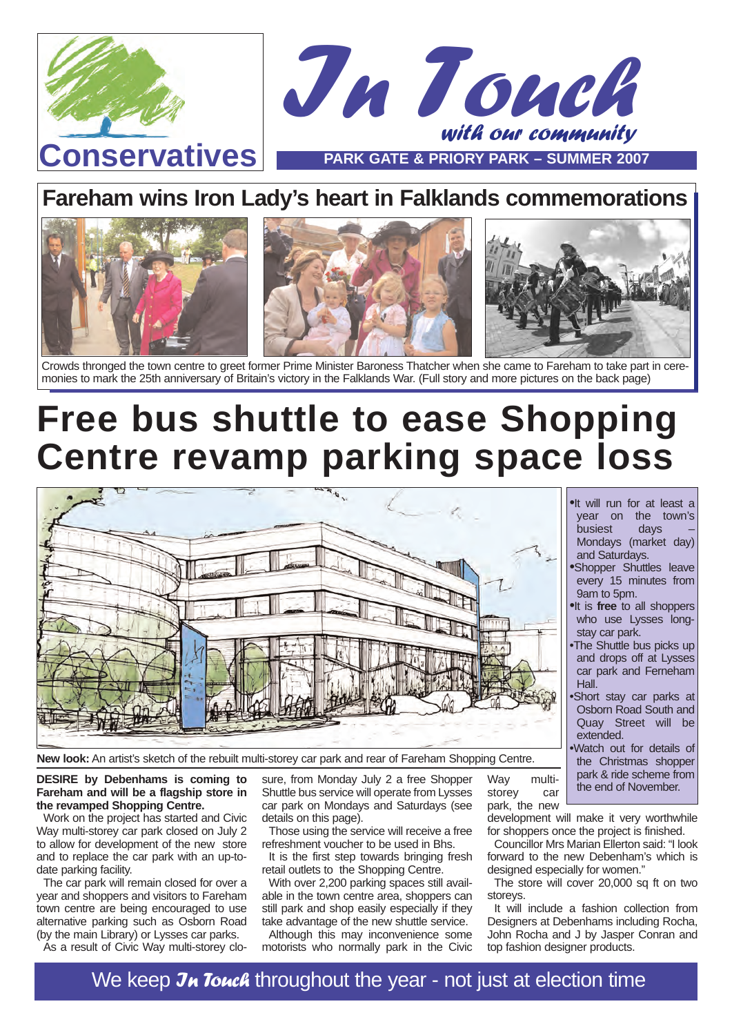

## **Fareham wins Iron Lady's heart in Falklands commemorations**



Crowds thronged the town centre to greet former Prime Minister Baroness Thatcher when she came to Fareham to take part in ceremonies to mark the 25th anniversary of Britain's victory in the Falklands War. (Full story and more pictures on the back page)

# **Free bus shuttle to ease Shopping Centre revamp parking space loss**



**New look:** An artist's sketch of the rebuilt multi-storey car park and rear of Fareham Shopping Centre.

**DESIRE by Debenhams is coming to Fareham and will be a flagship store in the revamped Shopping Centre.**

Work on the project has started and Civic Way multi-storey car park closed on July 2 to allow for development of the new store and to replace the car park with an up-todate parking facility.

The car park will remain closed for over a year and shoppers and visitors to Fareham town centre are being encouraged to use alternative parking such as Osborn Road (by the main Library) or Lysses car parks.

As a result of Civic Way multi-storey clo-

sure, from Monday July 2 a free Shopper Shuttle bus service will operate from Lysses car park on Mondays and Saturdays (see details on this page).

Those using the service will receive a free refreshment voucher to be used in Bhs.

It is the first step towards bringing fresh retail outlets to the Shopping Centre.

With over 2,200 parking spaces still available in the town centre area, shoppers can still park and shop easily especially if they take advantage of the new shuttle service.

Although this may inconvenience some motorists who normally park in the Civic

Way multistorey car

park, the new development will make it very worthwhile for shoppers once the project is finished.

extended.

•It will run for at least a year on the town's<br>busiest davs -

Mondays (market day)

•Shopper Shuttles leave every 15 minutes from

•It is **free** to all shoppers who use Lysses long-

•The Shuttle bus picks up and drops off at Lysses car park and Ferneham

•Short stay car parks at Osborn Road South and Quay Street will be

•Watch out for details of the Christmas shopper park & ride scheme from the end of November.

**busiest** 

and Saturdays.

9am to 5pm.

stay car park.

Hall.

Councillor Mrs Marian Ellerton said: "I look forward to the new Debenham's which is designed especially for women."

The store will cover 20,000 sq ft on two storeys.

It will include a fashion collection from Designers at Debenhams including Rocha, John Rocha and J by Jasper Conran and top fashion designer products.

We keep  $\lambda$  Touch throughout the year - not just at election time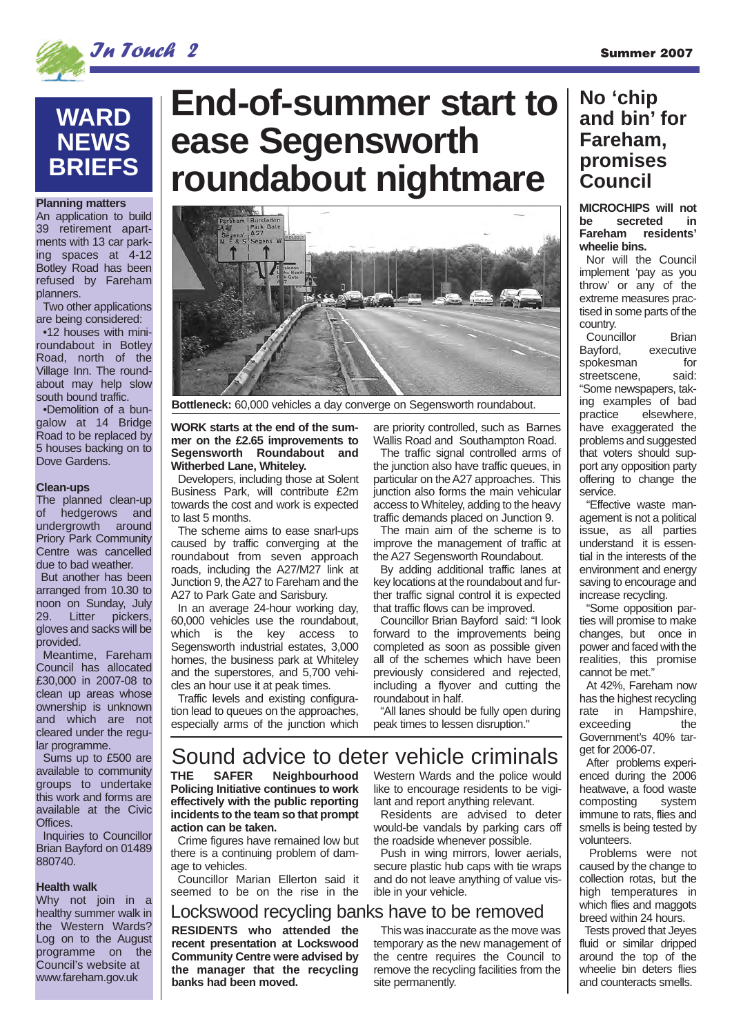

## **WARD NEWS BRIEFS**

#### **Planning matters**

An application to build 39 retirement apartments with 13 car parking spaces at 4-12 Botley Road has been refused by Fareham planners.

Two other applications are being considered:

•12 houses with miniroundabout in Botley Road, north of the Village Inn. The roundabout may help slow south bound traffic.

•Demolition of a bungalow at 14 Bridge Road to be replaced by 5 houses backing on to Dove Gardens.

### **Clean-ups**

The planned clean-up of hedgerows and undergrowth around Priory Park Community Centre was cancelled due to bad weather.

But another has been arranged from 10.30 to noon on Sunday, July 29. Litter pickers, gloves and sacks will be provided.

Meantime, Fareham Council has allocated £30,000 in 2007-08 to clean up areas whose ownership is unknown and which are not cleared under the regular programme.

Sums up to £500 are available to community groups to undertake this work and forms are available at the Civic Offices.

Inquiries to Councillor Brian Bayford on 01489 880740.

### **Health walk**

Why not join in a healthy summer walk in the Western Wards? Log on to the August programme on the Council's website at www.fareham.gov.uk

# **End-of-summer start to ease Segensworth roundabout nightmare**



**Bottleneck:** 60,000 vehicles a day converge on Segensworth roundabout.

#### **WORK starts at the end of the summer on the £2.65 improvements to Segensworth Roundabout and Witherbed Lane, Whiteley.**

Developers, including those at Solent Business Park, will contribute £2m towards the cost and work is expected to last 5 months.

The scheme aims to ease snarl-ups caused by traffic converging at the roundabout from seven approach roads, including the A27/M27 link at Junction 9, the A27 to Fareham and the A27 to Park Gate and Sarisbury.

In an average 24-hour working day, 60,000 vehicles use the roundabout, which is the key access to Segensworth industrial estates, 3,000 homes, the business park at Whiteley and the superstores, and 5,700 vehicles an hour use it at peak times.

Traffic levels and existing configuration lead to queues on the approaches, especially arms of the junction which are priority controlled, such as Barnes Wallis Road and Southampton Road.

The traffic signal controlled arms of the junction also have traffic queues, in particular on the A27 approaches. This iunction also forms the main vehicular access to Whiteley, adding to the heavy traffic demands placed on Junction 9.

The main aim of the scheme is to improve the management of traffic at the A27 Segensworth Roundabout.

By adding additional traffic lanes at key locations at the roundabout and further traffic signal control it is expected that traffic flows can be improved.

Councillor Brian Bayford said: "I look forward to the improvements being completed as soon as possible given all of the schemes which have been previously considered and rejected, including a flyover and cutting the roundabout in half.

"All lanes should be fully open during peak times to lessen disruption."

## Sound advice to deter vehicle criminals

**THE SAFER Neighbourhood Policing Initiative continues to work effectively with the public reporting incidents to the team so that prompt action can be taken.** 

Crime figures have remained low but there is a continuing problem of damage to vehicles.

Councillor Marian Ellerton said it seemed to be on the rise in the

### Western Wards and the police would like to encourage residents to be vigilant and report anything relevant.

Residents are advised to deter would-be vandals by parking cars off the roadside whenever possible.

Push in wing mirrors, lower aerials, secure plastic hub caps with tie wraps and do not leave anything of value visible in your vehicle.

### **RESIDENTS who attended the** This was inaccurate as the move was Lockswood recycling banks have to be removed

**recent presentation at Lockswood Community Centre were advised by the manager that the recycling banks had been moved.**

temporary as the new management of the centre requires the Council to remove the recycling facilities from the site permanently.

## **No 'chip and bin' for Fareham, promises Council**

**MICROCHIPS will not be secreted in Fareham residents' wheelie bins.**

Nor will the Council implement 'pay as you throw' or any of the extreme measures practised in some parts of the country.

Councillor Brian Bayford, executive spokesman for streetscene. said: "Some newspapers, taking examples of bad practice elsewhere, have exaggerated the problems and suggested that voters should support any opposition party offering to change the service.

"Effective waste management is not a political issue, as all parties understand it is essential in the interests of the environment and energy saving to encourage and increase recycling.

"Some opposition parties will promise to make changes, but once in power and faced with the realities, this promise cannot be met."

At 42%, Fareham now has the highest recycling rate in Hampshire, exceeding the Government's 40% target for 2006-07.

After problems experienced during the 2006 heatwave, a food waste<br>composting system composting immune to rats, flies and smells is being tested by volunteers.

Problems were not caused by the change to collection rotas, but the high temperatures in which flies and maggots breed within 24 hours.

Tests proved that Jeyes fluid or similar dripped around the top of the wheelie bin deters flies and counteracts smells.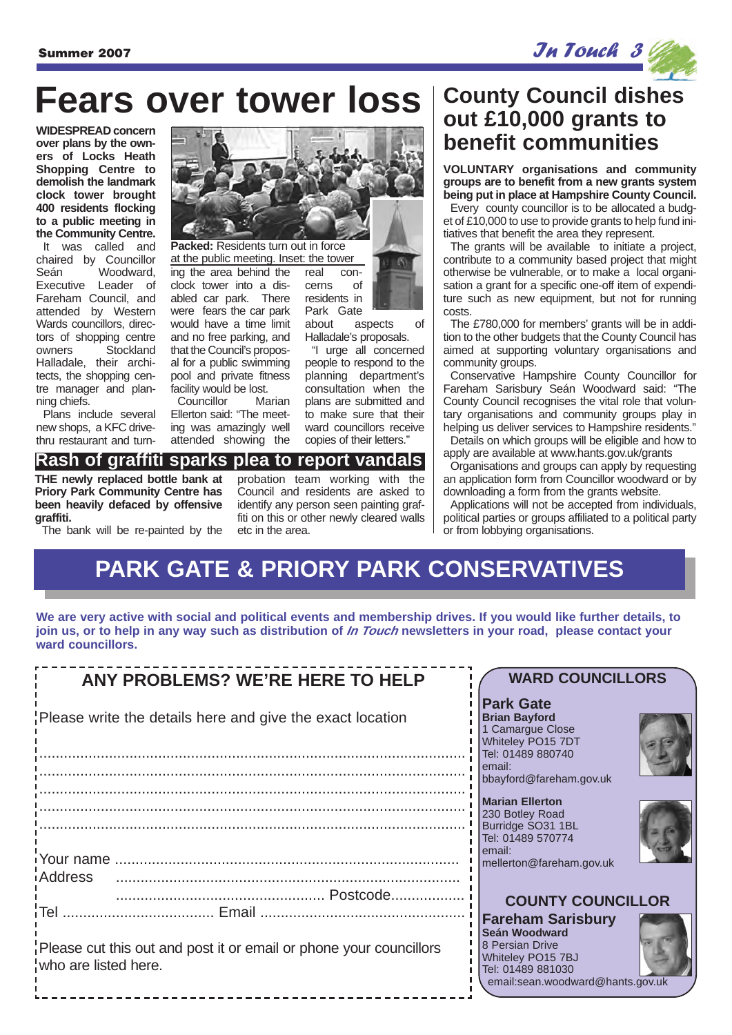$S$ ummer 2007  $\boldsymbol{\mathcal{J}}$ u $\boldsymbol{\mathcal{J}}$   $\boldsymbol{\mathcal{J}}$   $\boldsymbol{\mathcal{J}}$   $\boldsymbol{\mathcal{J}}$   $\boldsymbol{\mathcal{J}}$   $\boldsymbol{\mathcal{J}}$   $\boldsymbol{\mathcal{J}}$   $\boldsymbol{\mathcal{J}}$   $\boldsymbol{\mathcal{J}}$   $\boldsymbol{\mathcal{J}}$   $\boldsymbol{\mathcal{J}}$   $\boldsymbol{\mathcal{J}}$   $\boldsymbol{\mathcal{J}}$   $\boldsymbol{\mathcal{J}}$   $\boldsymbol{\mathcal{J}}$   $\boldsymbol{\mathcal{J}}$   $\bold$ 

# **Fears over tower loss**

**over plans by the owners of Locks Heath Shopping Centre to demolish the landmark clock tower brought 400 residents flocking to a public meeting in the Community Centre.** It was called and chaired by Councillor Seán Woodward, Executive Leader of Fareham Council, and attended by Western Wards councillors, directors of shopping centre owners Stockland Halladale, their architects, the shopping centre manager and planning chiefs.

Plans include several new shops, a KFC drivethru restaurant and turn-

ing the area behind the clock tower into a disabled car park. There were fears the car park would have a time limit and no free parking, and that the Council's proposal for a public swimming **Packed:** Residents turn out in force at the public meeting. Inset: the tower

Councillor Marian Ellerton said: "The meeting was amazingly well attended showing the

**Rash of graffiti sparks plea to report vandals**

real con-

about aspects of Halladale's proposals.

"I urge all concerned people to respond to the planning department's consultation when the plans are submitted and to make sure that their ward councillors receive copies of their letters."

# **County Council dishes out £10,000 grants to**

**VOLUNTARY organisations and community groups are to benefit from a new grants system being put in place at Hampshire County Council.**

Every county councillor is to be allocated a budget of £10,000 to use to provide grants to help fund initiatives that benefit the area they represent.

The grants will be available to initiate a project, contribute to a community based project that might otherwise be vulnerable, or to make a local organisation a grant for a specific one-off item of expenditure such as new equipment, but not for running costs.

The £780,000 for members' grants will be in addition to the other budgets that the County Council has aimed at supporting voluntary organisations and community groups.

Conservative Hampshire County Councillor for Fareham Sarisbury Seán Woodward said: "The County Council recognises the vital role that voluntary organisations and community groups play in helping us deliver services to Hampshire residents."

Details on which groups will be eligible and how to apply are available at www.hants.gov.uk/grants

Organisations and groups can apply by requesting an application form from Councillor woodward or by downloading a form from the grants website.

Applications will not be accepted from individuals, political parties or groups affiliated to a political party or from lobbying organisations.

# **PARK GATE & PRIORY PARK CONSERVATIVES**

**We are very active with social and political events and membership drives. If you would like further details, to join us, or to help in any way such as distribution of In Touch newsletters in your road, please contact your ward councillors.**

| ANY PROBLEMS? WE'RE HERE TO HELP                                                           | <b>WARD COUNCILLORS</b>                                                                                                                    |
|--------------------------------------------------------------------------------------------|--------------------------------------------------------------------------------------------------------------------------------------------|
| Please write the details here and give the exact location                                  | <b>Park Gate</b><br><b>Brian Bayford</b><br>1 Camarque Close<br>Whiteley PO15 7DT<br>Tel: 01489 880740                                     |
|                                                                                            | l email:<br>bbayford@fareham.gov.uk                                                                                                        |
|                                                                                            | Marian Ellerton<br>230 Botley Road<br>Burridge SO31 1BL<br>Tel: 01489 570774<br>email:                                                     |
|                                                                                            | mellerton@fareham.gov.uk                                                                                                                   |
| iAddress                                                                                   | <b>COUNTY COUNCILLOR</b>                                                                                                                   |
| Please cut this out and post it or email or phone your councillors<br>who are listed here. | <b>Fareham Sarisbury</b><br>Seán Woodward<br>8 Persian Drive<br>Whiteley PO15 7BJ<br>Tel: 01489 881030<br>email:sean.woodward@hants.gov.uk |



cerns of residents in Park Gate

pool and private fitness facility would be lost.

### **Priory Park Community Centre has been heavily defaced by offensive**

**graffiti.** The bank will be re-painted by the

**THE newly replaced bottle bank at**

probation team working with the Council and residents are asked to identify any person seen painting graffiti on this or other newly cleared walls etc in the area.